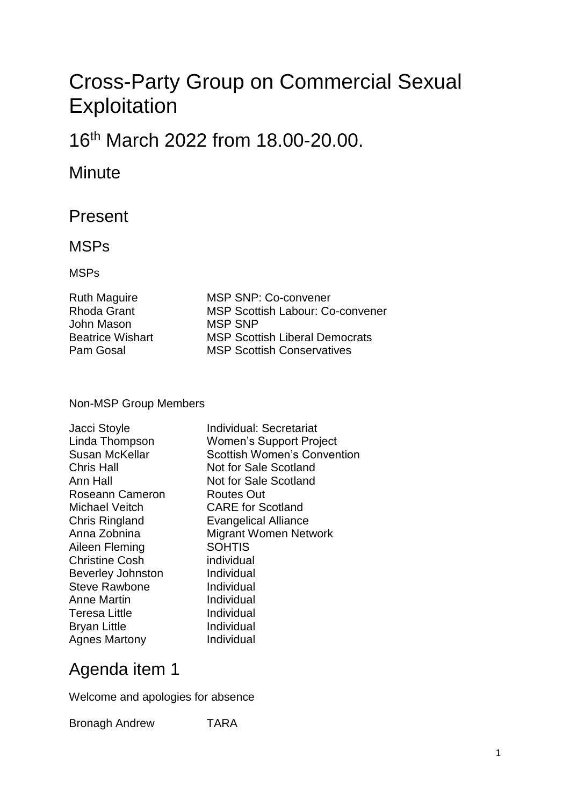# Cross-Party Group on Commercial Sexual **Exploitation**

## 16th March 2022 from 18.00-20.00.

#### **Minute**

#### Present

#### MSPs

#### MSPs

| <b>Ruth Maguire</b>     |
|-------------------------|
| <b>Rhoda Grant</b>      |
| John Mason              |
| <b>Beatrice Wishart</b> |
| Pam Gosal               |

MSP SNP: Co-convener **MSP Scottish Labour: Co-convener MSP SNP MSP Scottish Liberal Democrats MSP Scottish Conservatives** 

#### Non-MSP Group Members

| Jacci Stoyle             | Individual: Secretariat            |
|--------------------------|------------------------------------|
| Linda Thompson           | <b>Women's Support Project</b>     |
| <b>Susan McKellar</b>    | <b>Scottish Women's Convention</b> |
| <b>Chris Hall</b>        | Not for Sale Scotland              |
| Ann Hall                 | Not for Sale Scotland              |
| Roseann Cameron          | Routes Out                         |
| Michael Veitch           | <b>CARE</b> for Scotland           |
| <b>Chris Ringland</b>    | <b>Evangelical Alliance</b>        |
| Anna Zobnina             | <b>Migrant Women Network</b>       |
| Aileen Fleming           | <b>SOHTIS</b>                      |
| <b>Christine Cosh</b>    | individual                         |
| <b>Beverley Johnston</b> | Individual                         |
| <b>Steve Rawbone</b>     | Individual                         |
| <b>Anne Martin</b>       | Individual                         |
| <b>Teresa Little</b>     | Individual                         |
| <b>Bryan Little</b>      | Individual                         |
| <b>Agnes Martony</b>     | Individual                         |
|                          |                                    |

## Agenda item 1

Welcome and apologies for absence

Bronagh Andrew TARA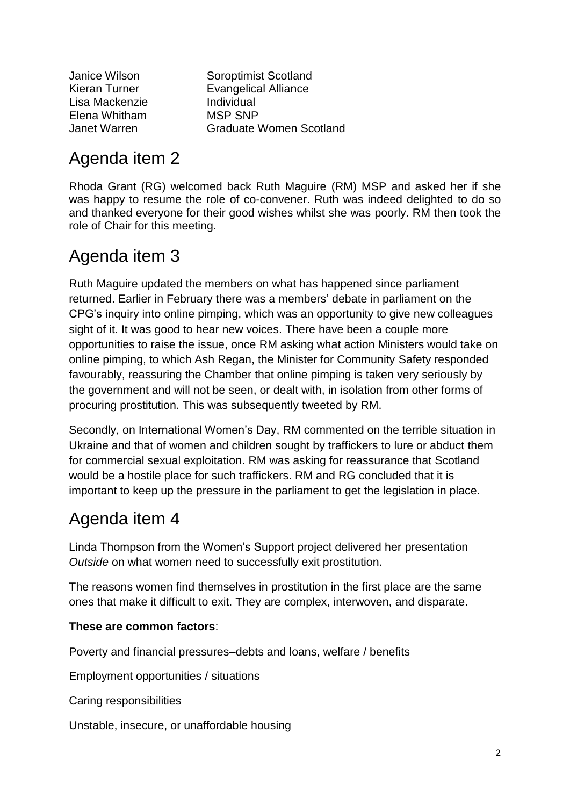Lisa Mackenzie Individual Elena Whitham MSP SNP

Janice Wilson Soroptimist Scotland Kieran Turner **Evangelical Alliance** Janet Warren Graduate Women Scotland

## Agenda item 2

Rhoda Grant (RG) welcomed back Ruth Maguire (RM) MSP and asked her if she was happy to resume the role of co-convener. Ruth was indeed delighted to do so and thanked everyone for their good wishes whilst she was poorly. RM then took the role of Chair for this meeting.

## Agenda item 3

Ruth Maguire updated the members on what has happened since parliament returned. Earlier in February there was a members' debate in parliament on the CPG's inquiry into online pimping, which was an opportunity to give new colleagues sight of it. It was good to hear new voices. There have been a couple more opportunities to raise the issue, once RM asking what action Ministers would take on online pimping, to which Ash Regan, the Minister for Community Safety responded favourably, reassuring the Chamber that online pimping is taken very seriously by the government and will not be seen, or dealt with, in isolation from other forms of procuring prostitution. This was subsequently tweeted by RM.

Secondly, on International Women's Day, RM commented on the terrible situation in Ukraine and that of women and children sought by traffickers to lure or abduct them for commercial sexual exploitation. RM was asking for reassurance that Scotland would be a hostile place for such traffickers. RM and RG concluded that it is important to keep up the pressure in the parliament to get the legislation in place.

## Agenda item 4

Linda Thompson from the Women's Support project delivered her presentation *Outside* on what women need to successfully exit prostitution.

The reasons women find themselves in prostitution in the first place are the same ones that make it difficult to exit. They are complex, interwoven, and disparate.

#### **These are common factors**:

Poverty and financial pressures–debts and loans, welfare / benefits

Employment opportunities / situations

Caring responsibilities

Unstable, insecure, or unaffordable housing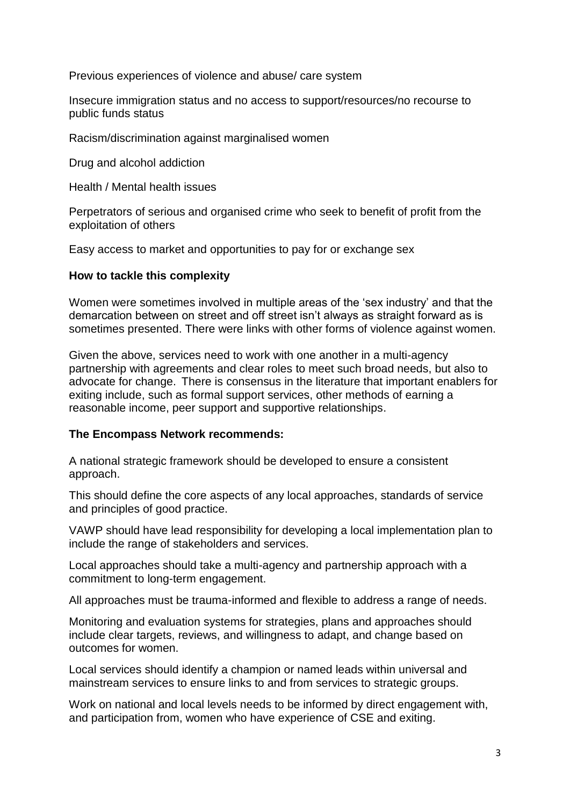Previous experiences of violence and abuse/ care system

Insecure immigration status and no access to support/resources/no recourse to public funds status

Racism/discrimination against marginalised women

Drug and alcohol addiction

Health / Mental health issues

Perpetrators of serious and organised crime who seek to benefit of profit from the exploitation of others

Easy access to market and opportunities to pay for or exchange sex

#### **How to tackle this complexity**

Women were sometimes involved in multiple areas of the 'sex industry' and that the demarcation between on street and off street isn't always as straight forward as is sometimes presented. There were links with other forms of violence against women.

Given the above, services need to work with one another in a multi-agency partnership with agreements and clear roles to meet such broad needs, but also to advocate for change. There is consensus in the literature that important enablers for exiting include, such as formal support services, other methods of earning a reasonable income, peer support and supportive relationships.

#### **The Encompass Network recommends:**

A national strategic framework should be developed to ensure a consistent approach.

This should define the core aspects of any local approaches, standards of service and principles of good practice.

VAWP should have lead responsibility for developing a local implementation plan to include the range of stakeholders and services.

Local approaches should take a multi-agency and partnership approach with a commitment to long-term engagement.

All approaches must be trauma-informed and flexible to address a range of needs.

Monitoring and evaluation systems for strategies, plans and approaches should include clear targets, reviews, and willingness to adapt, and change based on outcomes for women.

Local services should identify a champion or named leads within universal and mainstream services to ensure links to and from services to strategic groups.

Work on national and local levels needs to be informed by direct engagement with, and participation from, women who have experience of CSE and exiting.